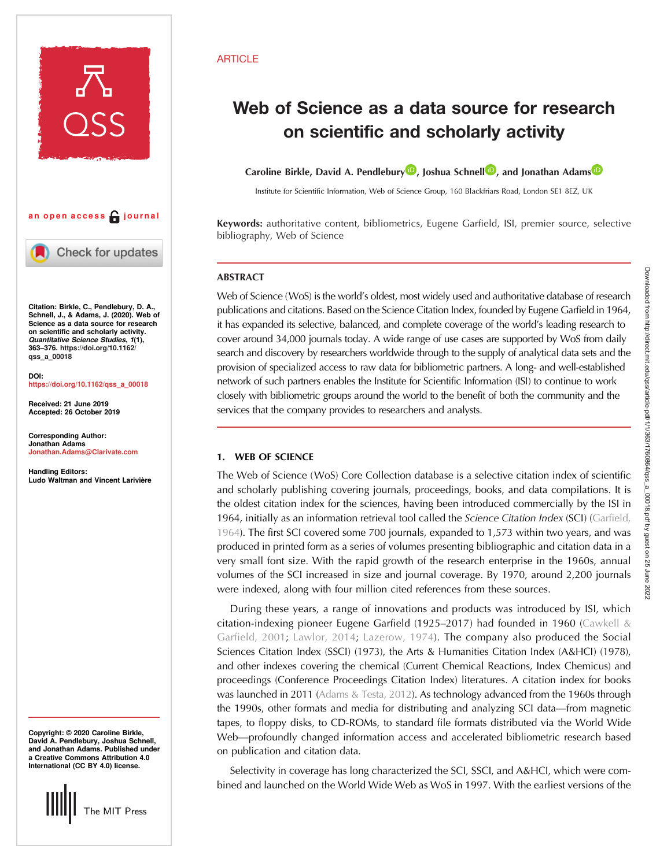



Check for updates

Citation: Birkle, C., Pendlebury, D. A., Schnell, J., & Adams, J. (2020). Web of Science as a data source for research on scientific and scholarly activity. Quantitative Science Studies, 1(1), 363–376. [https://doi.org/10.1162/](https://doi.org/10.1162/qss_a_00018) [qss\\_a\\_00018](https://doi.org/10.1162/qss_a_00018)

DOI: [https://doi.org/10.1162/qss\\_a\\_00018](https://doi.org/10.1162/qss_a_00018)

Received: 21 June 2019 Accepted: 26 October 2019

Corresponding Author: Jonathan Adams [Jonathan.Adams@Clarivate.com](mailto:Jonathan.Adams@Clarivate.com)

Handling Editors: Ludo Waltman and Vincent Larivière

Copyright: © 2020 Caroline Birkle, David A. Pendlebury, Joshua Schnell, and Jonathan Adams. Published under a Creative Commons Attribution 4.0 International (CC BY 4.0) license.



# **ARTICLE**

# Web of Science as a data source for research on scientific and scholarly activity

Caroline Birkle, David A. Pendlebury<sup>(D)</sup>, Joshua Schnell<sup>(D)</sup>, and Jonathan Adams<sup>(D)</sup>

Institute for Scientific Information, Web of Science Group, 160 Blackfriars Road, London SE1 8EZ, UK

Keywords: authoritative content, bibliometrics, Eugene Garfield, ISI, premier source, selective bibliography, Web of Science

# ABSTRACT

Web of Science (WoS) is the world's oldest, most widely used and authoritative database of research publications and citations. Based on the Science Citation Index, founded by Eugene Garfield in 1964, it has expanded its selective, balanced, and complete coverage of the world's leading research to cover around 34,000 journals today. A wide range of use cases are supported by WoS from daily search and discovery by researchers worldwide through to the supply of analytical data sets and the provision of specialized access to raw data for bibliometric partners. A long- and well-established network of such partners enables the Institute for Scientific Information (ISI) to continue to work closely with bibliometric groups around the world to the benefit of both the community and the services that the company provides to researchers and analysts.

# 1. WEB OF SCIENCE

The Web of Science (WoS) Core Collection database is a selective citation index of scientific and scholarly publishing covering journals, proceedings, books, and data compilations. It is the oldest citation index for the sciences, having been introduced commercially by the ISI in 1964, initially as an information retrieval tool called the Science Citation Index (SCI) ([Garfield,](#page-13-0) [1964\)](#page-13-0). The first SCI covered some 700 journals, expanded to 1,573 within two years, and was produced in printed form as a series of volumes presenting bibliographic and citation data in a very small font size. With the rapid growth of the research enterprise in the 1960s, annual volumes of the SCI increased in size and journal coverage. By 1970, around 2,200 journals were indexed, along with four million cited references from these sources.

During these years, a range of innovations and products was introduced by ISI, which citation-indexing pioneer Eugene Garfield (1925–2017) had founded in 1960 ([Cawkell &](#page-12-0) [Garfield, 2001;](#page-12-0) [Lawlor, 2014;](#page-13-0) [Lazerow, 1974](#page-13-0)). The company also produced the Social Sciences Citation Index (SSCI) (1973), the Arts & Humanities Citation Index (A&HCI) (1978), and other indexes covering the chemical (Current Chemical Reactions, Index Chemicus) and proceedings (Conference Proceedings Citation Index) literatures. A citation index for books was launched in 2011 [\(Adams & Testa, 2012\)](#page-12-0). As technology advanced from the 1960s through the 1990s, other formats and media for distributing and analyzing SCI data—from magnetic tapes, to floppy disks, to CD-ROMs, to standard file formats distributed via the World Wide Web—profoundly changed information access and accelerated bibliometric research based on publication and citation data.

Selectivity in coverage has long characterized the SCI, SSCI, and A&HCI, which were combined and launched on the World Wide Web as WoS in 1997. With the earliest versions of the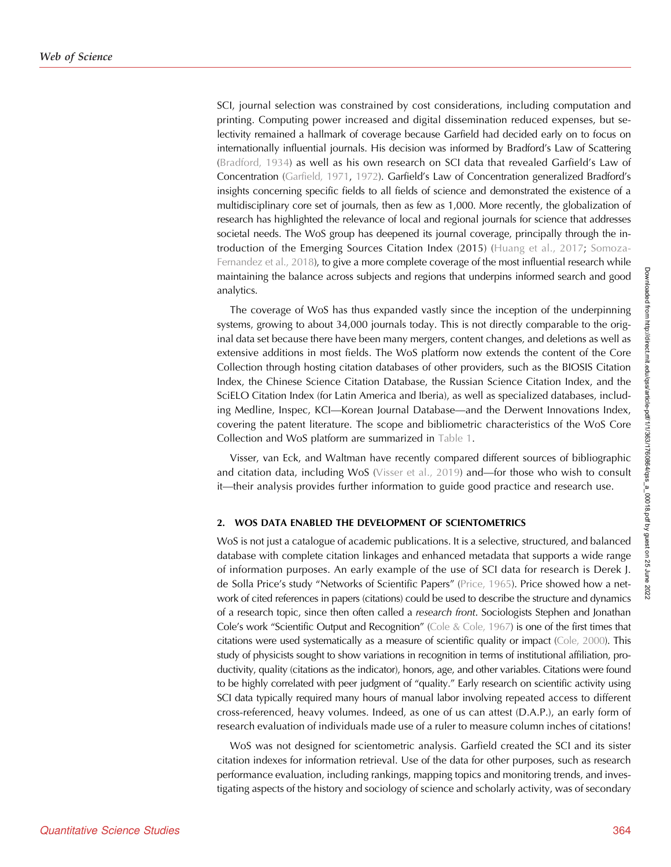SCI, journal selection was constrained by cost considerations, including computation and printing. Computing power increased and digital dissemination reduced expenses, but selectivity remained a hallmark of coverage because Garfield had decided early on to focus on internationally influential journals. His decision was informed by Bradford's Law of Scattering ([Bradford, 1934](#page-12-0)) as well as his own research on SCI data that revealed Garfield's Law of Concentration [\(Garfield, 1971,](#page-13-0) [1972](#page-13-0)). Garfield's Law of Concentration generalized Bradford's insights concerning specific fields to all fields of science and demonstrated the existence of a multidisciplinary core set of journals, then as few as 1,000. More recently, the globalization of research has highlighted the relevance of local and regional journals for science that addresses societal needs. The WoS group has deepened its journal coverage, principally through the introduction of the Emerging Sources Citation Index (2015) ([Huang et al., 2017;](#page-13-0) [Somoza-](#page-13-0)[Fernandez et al., 2018\)](#page-13-0), to give a more complete coverage of the most influential research while maintaining the balance across subjects and regions that underpins informed search and good analytics.

The coverage of WoS has thus expanded vastly since the inception of the underpinning systems, growing to about 34,000 journals today. This is not directly comparable to the original data set because there have been many mergers, content changes, and deletions as well as extensive additions in most fields. The WoS platform now extends the content of the Core Collection through hosting citation databases of other providers, such as the BIOSIS Citation Index, the Chinese Science Citation Database, the Russian Science Citation Index, and the SciELO Citation Index (for Latin America and Iberia), as well as specialized databases, including Medline, Inspec, KCI—Korean Journal Database—and the Derwent Innovations Index, covering the patent literature. The scope and bibliometric characteristics of the WoS Core Collection and WoS platform are summarized in [Table 1.](#page-2-0)

Visser, van Eck, and Waltman have recently compared different sources of bibliographic and citation data, including WoS [\(Visser et al., 2019\)](#page-13-0) and—for those who wish to consult it—their analysis provides further information to guide good practice and research use.

## 2. WOS DATA ENABLED THE DEVELOPMENT OF SCIENTOMETRICS

WoS is not just a catalogue of academic publications. It is a selective, structured, and balanced database with complete citation linkages and enhanced metadata that supports a wide range of information purposes. An early example of the use of SCI data for research is Derek J. de Solla Price's study "Networks of Scientific Papers" [\(Price, 1965\)](#page-13-0). Price showed how a network of cited references in papers (citations) could be used to describe the structure and dynamics of a research topic, since then often called a research front. Sociologists Stephen and Jonathan Cole's work "Scientific Output and Recognition" (Cole  $\&$  Cole, 1967) is one of the first times that citations were used systematically as a measure of scientific quality or impact [\(Cole, 2000](#page-12-0)). This study of physicists sought to show variations in recognition in terms of institutional affiliation, productivity, quality (citations as the indicator), honors, age, and other variables. Citations were found to be highly correlated with peer judgment of "quality." Early research on scientific activity using SCI data typically required many hours of manual labor involving repeated access to different cross-referenced, heavy volumes. Indeed, as one of us can attest (D.A.P.), an early form of research evaluation of individuals made use of a ruler to measure column inches of citations!

WoS was not designed for scientometric analysis. Garfield created the SCI and its sister citation indexes for information retrieval. Use of the data for other purposes, such as research performance evaluation, including rankings, mapping topics and monitoring trends, and investigating aspects of the history and sociology of science and scholarly activity, was of secondary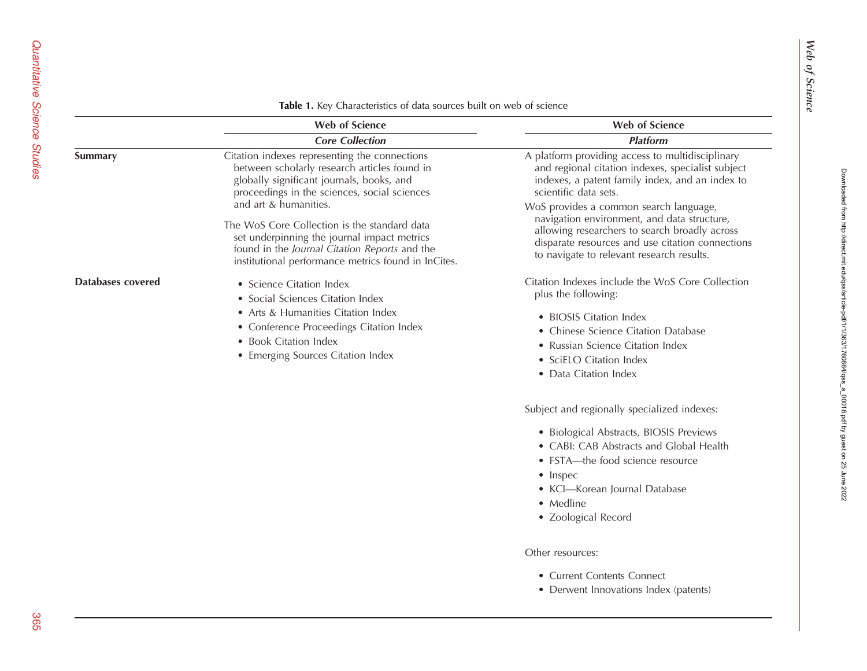| j<br>ĺ                                                                                                |
|-------------------------------------------------------------------------------------------------------|
|                                                                                                       |
|                                                                                                       |
| :                                                                                                     |
|                                                                                                       |
|                                                                                                       |
|                                                                                                       |
|                                                                                                       |
|                                                                                                       |
|                                                                                                       |
|                                                                                                       |
|                                                                                                       |
| $\overline{\phantom{a}}$                                                                              |
|                                                                                                       |
|                                                                                                       |
|                                                                                                       |
|                                                                                                       |
|                                                                                                       |
|                                                                                                       |
|                                                                                                       |
|                                                                                                       |
|                                                                                                       |
|                                                                                                       |
|                                                                                                       |
|                                                                                                       |
|                                                                                                       |
|                                                                                                       |
|                                                                                                       |
|                                                                                                       |
|                                                                                                       |
| son'                                                                                                  |
|                                                                                                       |
|                                                                                                       |
|                                                                                                       |
|                                                                                                       |
| ֖֖֚֚֚֚֚֚֚֚֚֚֚֚֚֚֚֡֞֟֡֝<br>֧֖֖֧֖֧֪֪֪֪֖֧֪֪֪֪֪֪֪֪֪֪֪֪֪֪֪֪֪֪֪֪֪֪֪֪ׅ֦֚֚֚֚֚֚֚֚֚֚֚֚֚֚֚֚֚֚֝֝֩֝֟֩֞֩֞֝֩֞֝֟<br>l |
| I                                                                                                     |
|                                                                                                       |
|                                                                                                       |
| ĺ                                                                                                     |
|                                                                                                       |
|                                                                                                       |
|                                                                                                       |
|                                                                                                       |
|                                                                                                       |
|                                                                                                       |
|                                                                                                       |
| こくこ てん とうらく クニートウィミニク けくけけ<br>i                                                                       |
|                                                                                                       |
| 3                                                                                                     |
|                                                                                                       |
| ser                                                                                                   |
|                                                                                                       |
|                                                                                                       |

# **Table 1.** Key Characteristics of data sources built on web of science

<span id="page-2-0"></span>

|                   | <b>Web of Science</b>                                                                                                                                                                                                                                                                                                                                                                                                      | Web of Science                                                                                                                                                                                                                                                                                                                                                                                                               |
|-------------------|----------------------------------------------------------------------------------------------------------------------------------------------------------------------------------------------------------------------------------------------------------------------------------------------------------------------------------------------------------------------------------------------------------------------------|------------------------------------------------------------------------------------------------------------------------------------------------------------------------------------------------------------------------------------------------------------------------------------------------------------------------------------------------------------------------------------------------------------------------------|
|                   | <b>Core Collection</b>                                                                                                                                                                                                                                                                                                                                                                                                     | <b>Platform</b>                                                                                                                                                                                                                                                                                                                                                                                                              |
| Summary           | Citation indexes representing the connections<br>between scholarly research articles found in<br>globally significant journals, books, and<br>proceedings in the sciences, social sciences<br>and art & humanities.<br>The WoS Core Collection is the standard data<br>set underpinning the journal impact metrics<br>found in the Journal Citation Reports and the<br>institutional performance metrics found in InCites. | A platform providing access to multidisciplinary<br>and regional citation indexes, specialist subject<br>indexes, a patent family index, and an index to<br>scientific data sets.<br>WoS provides a common search language,<br>navigation environment, and data structure,<br>allowing researchers to search broadly across<br>disparate resources and use citation connections<br>to navigate to relevant research results. |
| Databases covered | • Science Citation Index<br>• Social Sciences Citation Index<br>• Arts & Humanities Citation Index<br>• Conference Proceedings Citation Index<br>• Book Citation Index<br>• Emerging Sources Citation Index                                                                                                                                                                                                                | Citation Indexes include the WoS Core Collection<br>plus the following:<br>• BIOSIS Citation Index<br>Chinese Science Citation Database<br>• Russian Science Citation Index<br>• SciELO Citation Index<br>• Data Citation Index                                                                                                                                                                                              |
|                   |                                                                                                                                                                                                                                                                                                                                                                                                                            | Subject and regionally specialized indexes:                                                                                                                                                                                                                                                                                                                                                                                  |
|                   |                                                                                                                                                                                                                                                                                                                                                                                                                            | • Biological Abstracts, BIOSIS Previews                                                                                                                                                                                                                                                                                                                                                                                      |
|                   |                                                                                                                                                                                                                                                                                                                                                                                                                            | • CABI: CAB Abstracts and Global Health<br>• FSTA-the food science resource                                                                                                                                                                                                                                                                                                                                                  |
|                   |                                                                                                                                                                                                                                                                                                                                                                                                                            | $\bullet$ Inspec                                                                                                                                                                                                                                                                                                                                                                                                             |
|                   |                                                                                                                                                                                                                                                                                                                                                                                                                            | • KCI-Korean Journal Database                                                                                                                                                                                                                                                                                                                                                                                                |
|                   |                                                                                                                                                                                                                                                                                                                                                                                                                            | • Medline                                                                                                                                                                                                                                                                                                                                                                                                                    |
|                   |                                                                                                                                                                                                                                                                                                                                                                                                                            | • Zoological Record                                                                                                                                                                                                                                                                                                                                                                                                          |
|                   |                                                                                                                                                                                                                                                                                                                                                                                                                            | Other resources:                                                                                                                                                                                                                                                                                                                                                                                                             |
|                   |                                                                                                                                                                                                                                                                                                                                                                                                                            | • Current Contents Connect                                                                                                                                                                                                                                                                                                                                                                                                   |
|                   |                                                                                                                                                                                                                                                                                                                                                                                                                            | • Derwent Innovations Index (patents)                                                                                                                                                                                                                                                                                                                                                                                        |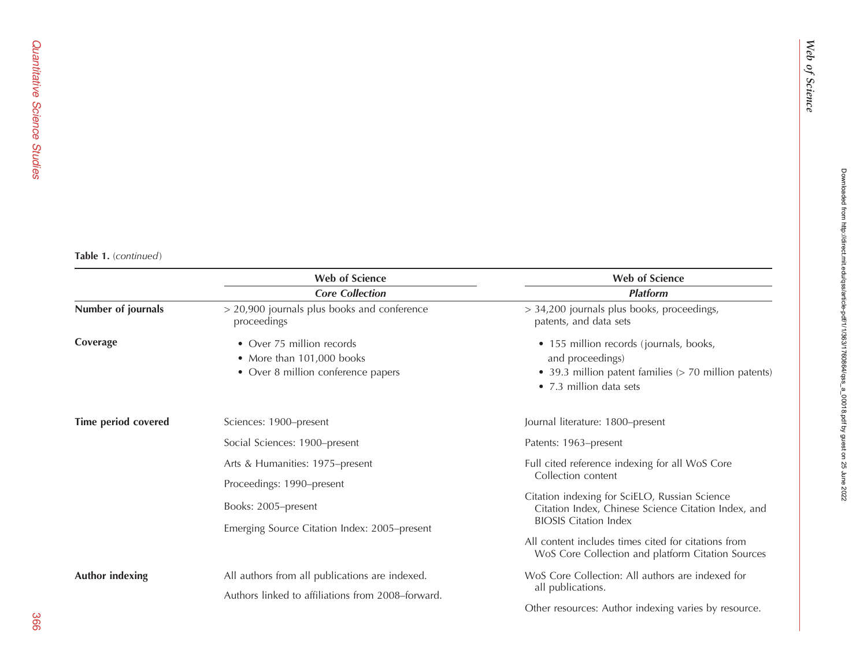|                            | <b>Web of Science</b>                                                                               | <b>Web of Science</b><br><b>Platform</b>                                                                                                        |  |
|----------------------------|-----------------------------------------------------------------------------------------------------|-------------------------------------------------------------------------------------------------------------------------------------------------|--|
|                            | <b>Core Collection</b>                                                                              |                                                                                                                                                 |  |
| Number of journals         | > 20,900 journals plus books and conference<br>proceedings                                          | > 34,200 journals plus books, proceedings,<br>patents, and data sets                                                                            |  |
| Coverage                   | • Over 75 million records<br>• More than 101,000 books<br>• Over 8 million conference papers        | • 155 million records (journals, books,<br>and proceedings)<br>• 39.3 million patent families (> 70 million patents)<br>• 7.3 million data sets |  |
| <b>Time period covered</b> | Sciences: 1900–present                                                                              | Journal literature: 1800-present                                                                                                                |  |
|                            | Social Sciences: 1900-present                                                                       | Patents: 1963-present                                                                                                                           |  |
|                            | Arts & Humanities: 1975–present<br>Proceedings: 1990–present                                        | Full cited reference indexing for all WoS Core<br>Collection content                                                                            |  |
|                            | Books: 2005-present                                                                                 | Citation indexing for SciELO, Russian Science<br>Citation Index, Chinese Science Citation Index, and<br><b>BIOSIS Citation Index</b>            |  |
|                            | Emerging Source Citation Index: 2005-present                                                        | All content includes times cited for citations from<br>WoS Core Collection and platform Citation Sources                                        |  |
| <b>Author indexing</b>     | All authors from all publications are indexed.<br>Authors linked to affiliations from 2008–forward. | WoS Core Collection: All authors are indexed for<br>all publications.                                                                           |  |
|                            |                                                                                                     | Other resources: Author indexing varies by resource.                                                                                            |  |

Web of Science

Web of Science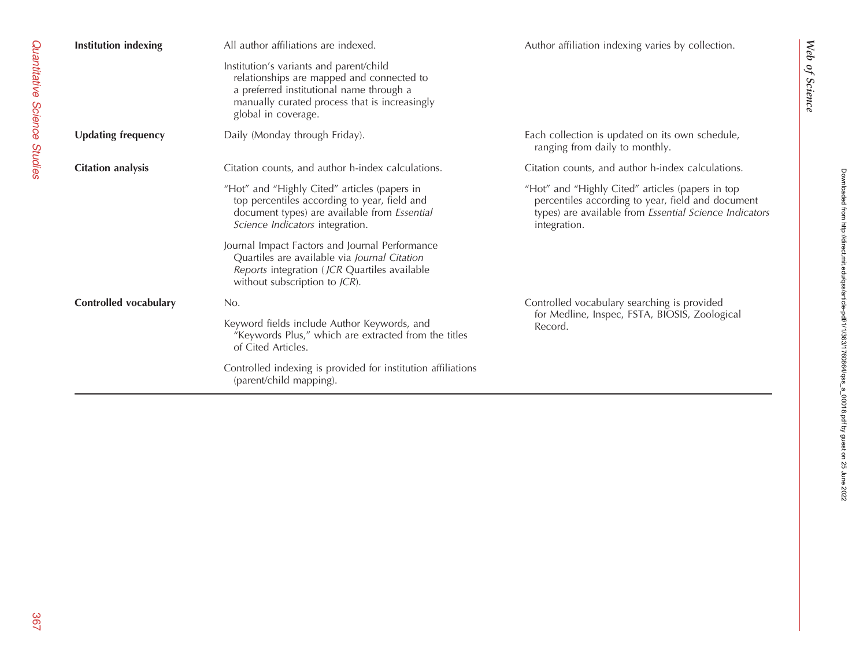| Institution indexing      | Author affiliation indexing varies by collection.<br>All author affiliations are indexed.                                                                                                                |                                                                                                                                                                                 |  |
|---------------------------|----------------------------------------------------------------------------------------------------------------------------------------------------------------------------------------------------------|---------------------------------------------------------------------------------------------------------------------------------------------------------------------------------|--|
|                           | Institution's variants and parent/child<br>relationships are mapped and connected to<br>a preferred institutional name through a<br>manually curated process that is increasingly<br>global in coverage. |                                                                                                                                                                                 |  |
| <b>Updating frequency</b> | Daily (Monday through Friday).                                                                                                                                                                           | Each collection is updated on its own schedule,<br>ranging from daily to monthly.                                                                                               |  |
| <b>Citation analysis</b>  | Citation counts, and author h-index calculations.                                                                                                                                                        | Citation counts, and author h-index calculations.                                                                                                                               |  |
|                           | "Hot" and "Highly Cited" articles (papers in<br>top percentiles according to year, field and<br>document types) are available from Essential<br>Science Indicators integration.                          | "Hot" and "Highly Cited" articles (papers in top<br>percentiles according to year, field and document<br>types) are available from Essential Science Indicators<br>integration. |  |
|                           | Journal Impact Factors and Journal Performance<br>Quartiles are available via Journal Citation<br>Reports integration (JCR Quartiles available<br>without subscription to JCR).                          |                                                                                                                                                                                 |  |
| Controlled vocabulary     | No.                                                                                                                                                                                                      | Controlled vocabulary searching is provided                                                                                                                                     |  |
|                           | Keyword fields include Author Keywords, and<br>"Keywords Plus," which are extracted from the titles<br>of Cited Articles.                                                                                | for Medline, Inspec, FSTA, BIOSIS, Zoological<br>Record.                                                                                                                        |  |
|                           | Controlled indexing is provided for institution affiliations<br>(parent/child mapping).                                                                                                                  |                                                                                                                                                                                 |  |
|                           |                                                                                                                                                                                                          |                                                                                                                                                                                 |  |

Web of Science

Web of Science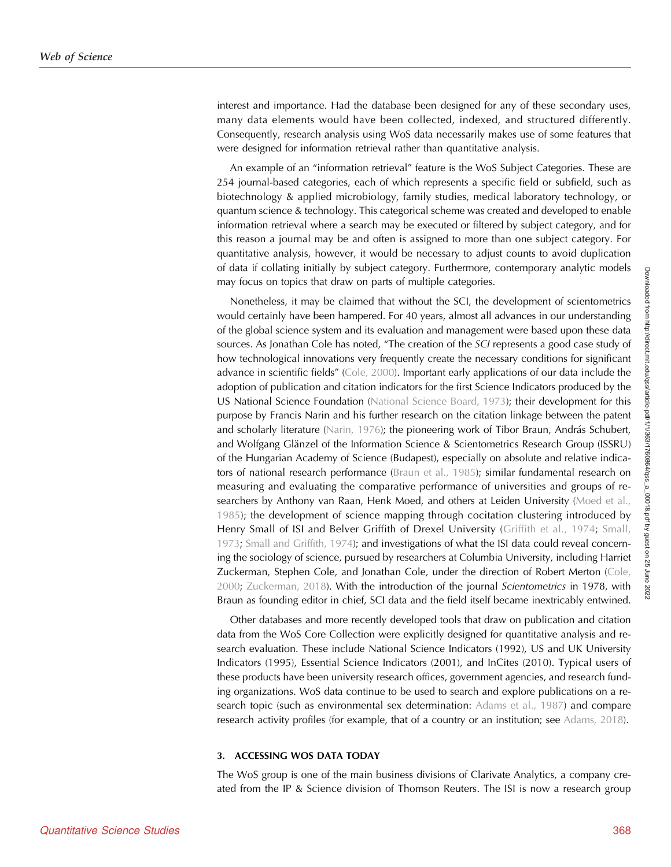interest and importance. Had the database been designed for any of these secondary uses, many data elements would have been collected, indexed, and structured differently. Consequently, research analysis using WoS data necessarily makes use of some features that were designed for information retrieval rather than quantitative analysis.

An example of an "information retrieval" feature is the WoS Subject Categories. These are 254 journal-based categories, each of which represents a specific field or subfield, such as biotechnology & applied microbiology, family studies, medical laboratory technology, or quantum science & technology. This categorical scheme was created and developed to enable information retrieval where a search may be executed or filtered by subject category, and for this reason a journal may be and often is assigned to more than one subject category. For quantitative analysis, however, it would be necessary to adjust counts to avoid duplication of data if collating initially by subject category. Furthermore, contemporary analytic models may focus on topics that draw on parts of multiple categories.

Nonetheless, it may be claimed that without the SCI, the development of scientometrics would certainly have been hampered. For 40 years, almost all advances in our understanding of the global science system and its evaluation and management were based upon these data sources. As Jonathan Cole has noted, "The creation of the SCI represents a good case study of how technological innovations very frequently create the necessary conditions for significant advance in scientific fields" ([Cole, 2000\)](#page-12-0). Important early applications of our data include the adoption of publication and citation indicators for the first Science Indicators produced by the US National Science Foundation [\(National Science Board, 1973\)](#page-13-0); their development for this purpose by Francis Narin and his further research on the citation linkage between the patent and scholarly literature ([Narin, 1976](#page-13-0)); the pioneering work of Tibor Braun, András Schubert, and Wolfgang Glänzel of the Information Science & Scientometrics Research Group (ISSRU) of the Hungarian Academy of Science (Budapest), especially on absolute and relative indicators of national research performance ([Braun et al., 1985](#page-12-0)); similar fundamental research on measuring and evaluating the comparative performance of universities and groups of re-searchers by Anthony van Raan, Henk Moed, and others at Leiden University ([Moed et al.,](#page-13-0) [1985\)](#page-13-0); the development of science mapping through cocitation clustering introduced by Henry Small of ISI and Belver Griffith of Drexel University ([Griffith et al., 1974](#page-13-0); [Small,](#page-13-0) [1973;](#page-13-0) [Small and Griffith, 1974](#page-13-0)); and investigations of what the ISI data could reveal concerning the sociology of science, pursued by researchers at Columbia University, including Harriet Zuckerman, Stephen Cole, and Jonathan Cole, under the direction of Robert Merton [\(Cole,](#page-12-0) [2000;](#page-12-0) [Zuckerman, 2018\)](#page-13-0). With the introduction of the journal Scientometrics in 1978, with Braun as founding editor in chief, SCI data and the field itself became inextricably entwined.

Other databases and more recently developed tools that draw on publication and citation data from the WoS Core Collection were explicitly designed for quantitative analysis and research evaluation. These include National Science Indicators (1992), US and UK University Indicators (1995), Essential Science Indicators (2001), and InCites (2010). Typical users of these products have been university research offices, government agencies, and research funding organizations. WoS data continue to be used to search and explore publications on a research topic (such as environmental sex determination: [Adams et al., 1987\)](#page-12-0) and compare research activity profiles (for example, that of a country or an institution; see [Adams, 2018\)](#page-12-0).

## 3. ACCESSING WOS DATA TODAY

The WoS group is one of the main business divisions of Clarivate Analytics, a company created from the IP & Science division of Thomson Reuters. The ISI is now a research group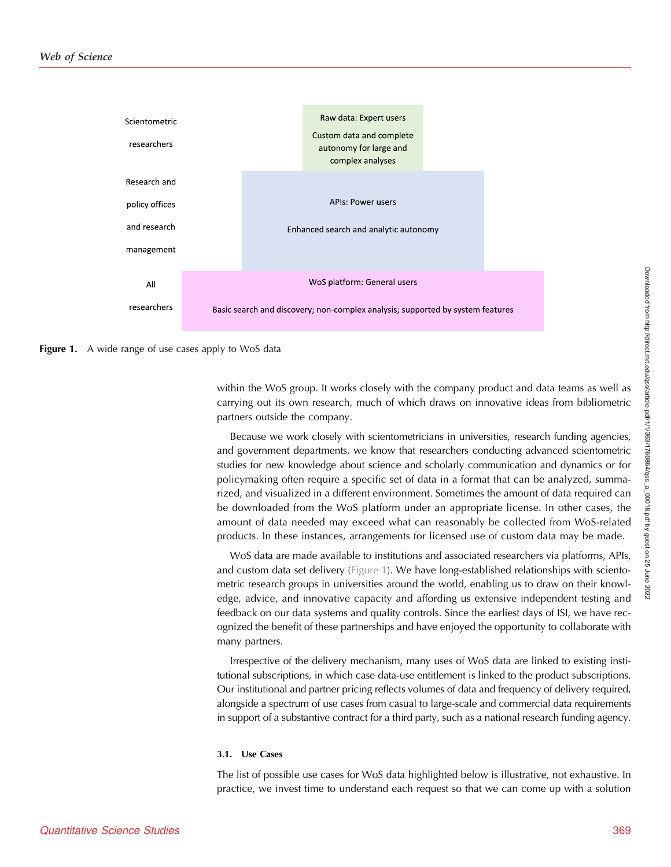



within the WoS group. It works closely with the company product and data teams as well as carrying out its own research, much of which draws on innovative ideas from bibliometric partners outside the company.

Because we work closely with scientometricians in universities, research funding agencies, and government departments, we know that researchers conducting advanced scientometric studies for new knowledge about science and scholarly communication and dynamics or for policymaking often require a specific set of data in a format that can be analyzed, summarized, and visualized in a different environment. Sometimes the amount of data required can be downloaded from the WoS platform under an appropriate license. In other cases, the amount of data needed may exceed what can reasonably be collected from WoS-related products. In these instances, arrangements for licensed use of custom data may be made.

WoS data are made available to institutions and associated researchers via platforms, APIs, and custom data set delivery (Figure 1). We have long-established relationships with scientometric research groups in universities around the world, enabling us to draw on their knowledge, advice, and innovative capacity and affording us extensive independent testing and feedback on our data systems and quality controls. Since the earliest days of ISI, we have recognized the benefit of these partnerships and have enjoyed the opportunity to collaborate with many partners.

Irrespective of the delivery mechanism, many uses of WoS data are linked to existing institutional subscriptions, in which case data-use entitlement is linked to the product subscriptions. Our institutional and partner pricing reflects volumes of data and frequency of delivery required, alongside a spectrum of use cases from casual to large-scale and commercial data requirements in support of a substantive contract for a third party, such as a national research funding agency.

#### 3.1. Use Cases

The list of possible use cases for WoS data highlighted below is illustrative, not exhaustive. In practice, we invest time to understand each request so that we can come up with a solution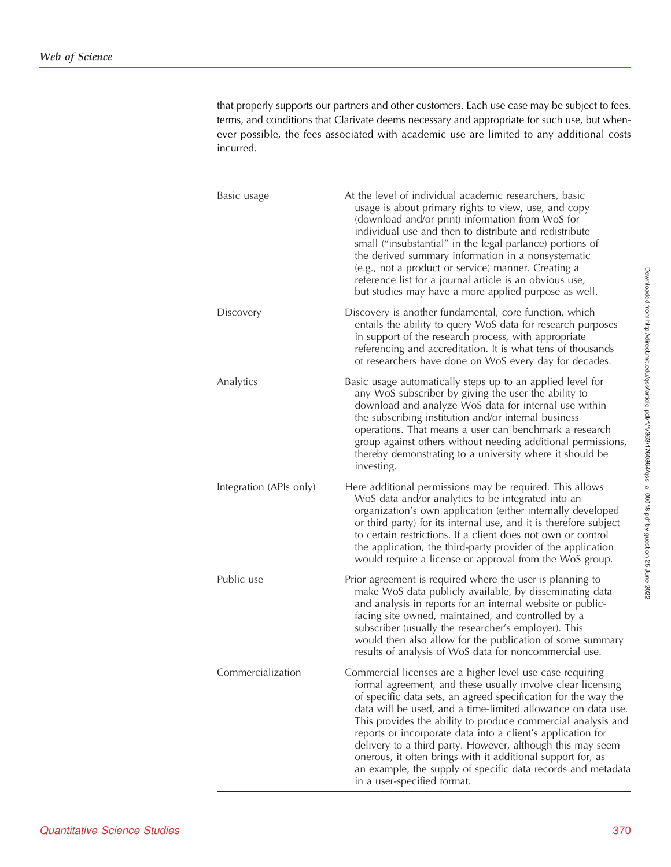that properly supports our partners and other customers. Each use case may be subject to fees, terms, and conditions that Clarivate deems necessary and appropriate for such use, but whenever possible, the fees associated with academic use are limited to any additional costs incurred.

| Basic usage             | At the level of individual academic researchers, basic<br>usage is about primary rights to view, use, and copy<br>(download and/or print) information from WoS for<br>individual use and then to distribute and redistribute<br>small ("insubstantial" in the legal parlance) portions of<br>the derived summary information in a nonsystematic<br>(e.g., not a product or service) manner. Creating a<br>reference list for a journal article is an obvious use,<br>but studies may have a more applied purpose as well.                                                                                             |
|-------------------------|-----------------------------------------------------------------------------------------------------------------------------------------------------------------------------------------------------------------------------------------------------------------------------------------------------------------------------------------------------------------------------------------------------------------------------------------------------------------------------------------------------------------------------------------------------------------------------------------------------------------------|
| Discovery               | Discovery is another fundamental, core function, which<br>entails the ability to query WoS data for research purposes<br>in support of the research process, with appropriate<br>referencing and accreditation. It is what tens of thousands<br>of researchers have done on WoS every day for decades.                                                                                                                                                                                                                                                                                                                |
| Analytics               | Basic usage automatically steps up to an applied level for<br>any WoS subscriber by giving the user the ability to<br>download and analyze WoS data for internal use within<br>the subscribing institution and/or internal business<br>operations. That means a user can benchmark a research<br>group against others without needing additional permissions,<br>thereby demonstrating to a university where it should be<br>investing.                                                                                                                                                                               |
| Integration (APIs only) | Here additional permissions may be required. This allows<br>WoS data and/or analytics to be integrated into an<br>organization's own application (either internally developed<br>or third party) for its internal use, and it is therefore subject<br>to certain restrictions. If a client does not own or control<br>the application, the third-party provider of the application<br>would require a license or approval from the WoS group.                                                                                                                                                                         |
| Public use              | Prior agreement is required where the user is planning to<br>make WoS data publicly available, by disseminating data<br>and analysis in reports for an internal website or public-<br>facing site owned, maintained, and controlled by a<br>subscriber (usually the researcher's employer). This<br>would then also allow for the publication of some summary<br>results of analysis of WoS data for noncommercial use.                                                                                                                                                                                               |
| Commercialization       | Commercial licenses are a higher level use case requiring<br>formal agreement, and these usually involve clear licensing<br>of specific data sets, an agreed specification for the way the<br>data will be used, and a time-limited allowance on data use.<br>This provides the ability to produce commercial analysis and<br>reports or incorporate data into a client's application for<br>delivery to a third party. However, although this may seem<br>onerous, it often brings with it additional support for, as<br>an example, the supply of specific data records and metadata<br>in a user-specified format. |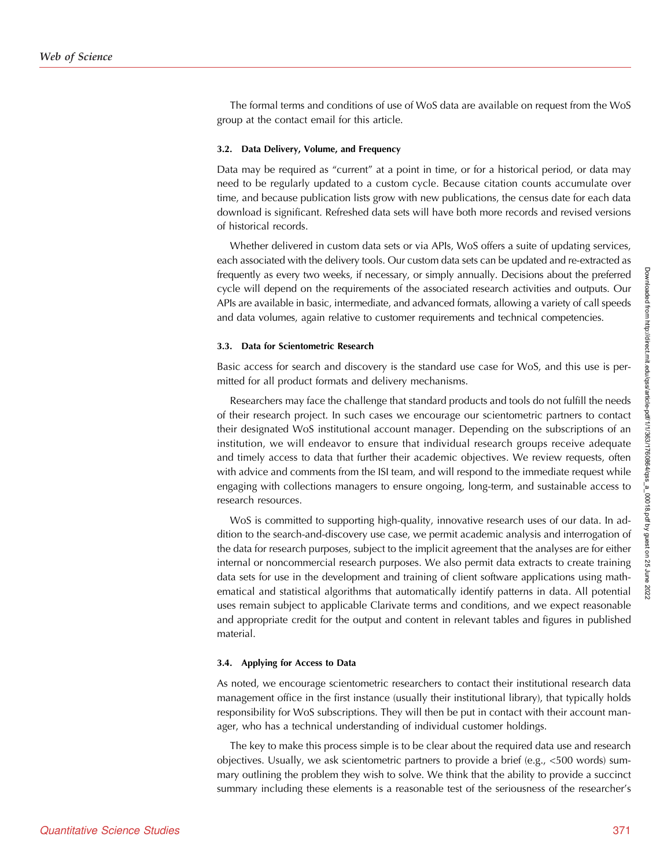The formal terms and conditions of use of WoS data are available on request from the WoS group at the contact email for this article.

#### 3.2. Data Delivery, Volume, and Frequency

Data may be required as "current" at a point in time, or for a historical period, or data may need to be regularly updated to a custom cycle. Because citation counts accumulate over time, and because publication lists grow with new publications, the census date for each data download is significant. Refreshed data sets will have both more records and revised versions of historical records.

Whether delivered in custom data sets or via APIs, WoS offers a suite of updating services, each associated with the delivery tools. Our custom data sets can be updated and re-extracted as frequently as every two weeks, if necessary, or simply annually. Decisions about the preferred cycle will depend on the requirements of the associated research activities and outputs. Our APIs are available in basic, intermediate, and advanced formats, allowing a variety of call speeds and data volumes, again relative to customer requirements and technical competencies.

#### 3.3. Data for Scientometric Research

Basic access for search and discovery is the standard use case for WoS, and this use is permitted for all product formats and delivery mechanisms.

Researchers may face the challenge that standard products and tools do not fulfill the needs of their research project. In such cases we encourage our scientometric partners to contact their designated WoS institutional account manager. Depending on the subscriptions of an institution, we will endeavor to ensure that individual research groups receive adequate and timely access to data that further their academic objectives. We review requests, often with advice and comments from the ISI team, and will respond to the immediate request while engaging with collections managers to ensure ongoing, long-term, and sustainable access to research resources.

WoS is committed to supporting high-quality, innovative research uses of our data. In addition to the search-and-discovery use case, we permit academic analysis and interrogation of the data for research purposes, subject to the implicit agreement that the analyses are for either internal or noncommercial research purposes. We also permit data extracts to create training data sets for use in the development and training of client software applications using mathematical and statistical algorithms that automatically identify patterns in data. All potential uses remain subject to applicable Clarivate terms and conditions, and we expect reasonable and appropriate credit for the output and content in relevant tables and figures in published material.

#### 3.4. Applying for Access to Data

As noted, we encourage scientometric researchers to contact their institutional research data management office in the first instance (usually their institutional library), that typically holds responsibility for WoS subscriptions. They will then be put in contact with their account manager, who has a technical understanding of individual customer holdings.

The key to make this process simple is to be clear about the required data use and research objectives. Usually, we ask scientometric partners to provide a brief (e.g., <500 words) summary outlining the problem they wish to solve. We think that the ability to provide a succinct summary including these elements is a reasonable test of the seriousness of the researcher's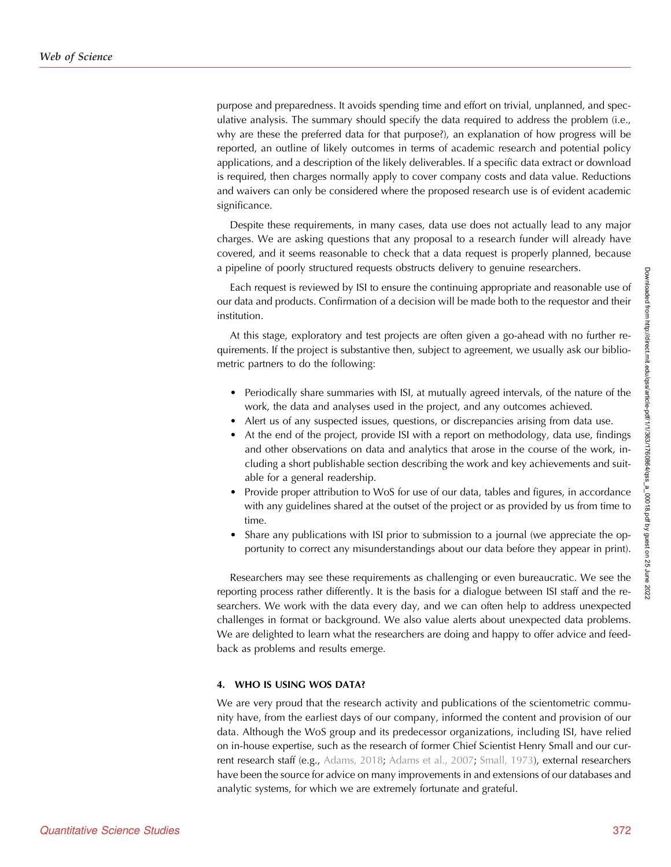purpose and preparedness. It avoids spending time and effort on trivial, unplanned, and speculative analysis. The summary should specify the data required to address the problem (i.e., why are these the preferred data for that purpose?), an explanation of how progress will be reported, an outline of likely outcomes in terms of academic research and potential policy applications, and a description of the likely deliverables. If a specific data extract or download is required, then charges normally apply to cover company costs and data value. Reductions and waivers can only be considered where the proposed research use is of evident academic significance.

Despite these requirements, in many cases, data use does not actually lead to any major charges. We are asking questions that any proposal to a research funder will already have covered, and it seems reasonable to check that a data request is properly planned, because a pipeline of poorly structured requests obstructs delivery to genuine researchers.

Each request is reviewed by ISI to ensure the continuing appropriate and reasonable use of our data and products. Confirmation of a decision will be made both to the requestor and their institution.

At this stage, exploratory and test projects are often given a go-ahead with no further requirements. If the project is substantive then, subject to agreement, we usually ask our bibliometric partners to do the following:

- Periodically share summaries with ISI, at mutually agreed intervals, of the nature of the work, the data and analyses used in the project, and any outcomes achieved.
- Alert us of any suspected issues, questions, or discrepancies arising from data use.
- At the end of the project, provide ISI with a report on methodology, data use, findings and other observations on data and analytics that arose in the course of the work, including a short publishable section describing the work and key achievements and suitable for a general readership.
- Provide proper attribution to WoS for use of our data, tables and figures, in accordance with any guidelines shared at the outset of the project or as provided by us from time to time.
- Share any publications with ISI prior to submission to a journal (we appreciate the opportunity to correct any misunderstandings about our data before they appear in print).

Researchers may see these requirements as challenging or even bureaucratic. We see the reporting process rather differently. It is the basis for a dialogue between ISI staff and the researchers. We work with the data every day, and we can often help to address unexpected challenges in format or background. We also value alerts about unexpected data problems. We are delighted to learn what the researchers are doing and happy to offer advice and feedback as problems and results emerge.

## 4. WHO IS USING WOS DATA?

We are very proud that the research activity and publications of the scientometric community have, from the earliest days of our company, informed the content and provision of our data. Although the WoS group and its predecessor organizations, including ISI, have relied on in-house expertise, such as the research of former Chief Scientist Henry Small and our cur-rent research staff (e.g., [Adams, 2018;](#page-12-0) [Adams et al., 2007;](#page-12-0) [Small, 1973](#page-13-0)), external researchers have been the source for advice on many improvements in and extensions of our databases and analytic systems, for which we are extremely fortunate and grateful.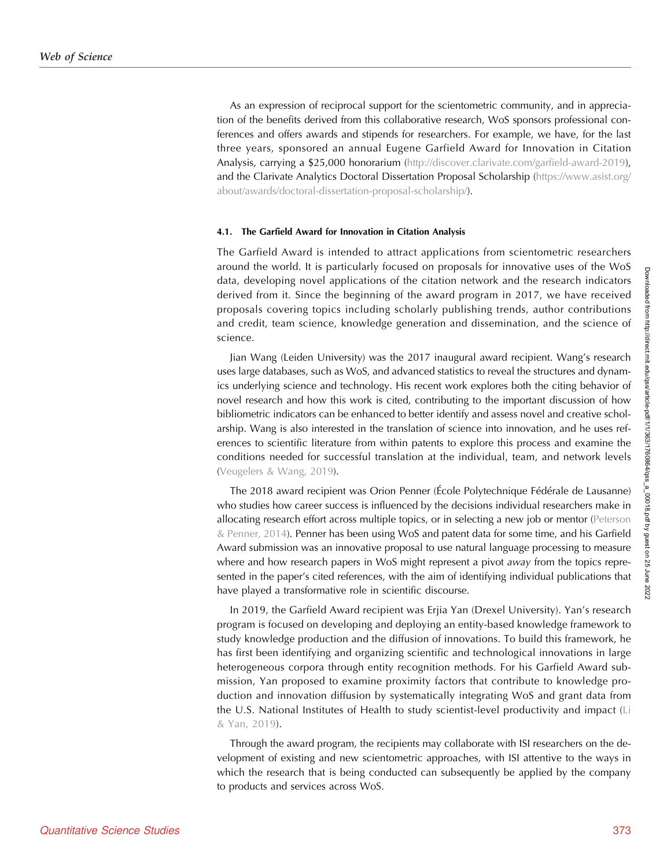As an expression of reciprocal support for the scientometric community, and in appreciation of the benefits derived from this collaborative research, WoS sponsors professional conferences and offers awards and stipends for researchers. For example, we have, for the last three years, sponsored an annual Eugene Garfield Award for Innovation in Citation Analysis, carrying a \$25,000 honorarium ([http://discover.clarivate.com/garfield-award-2019\)](http://discover.clarivate.com/garfield-award-2019), and the Clarivate Analytics Doctoral Dissertation Proposal Scholarship [\(https://www.asist.org/](https://www.asist.org/about/awards/doctoral-dissertation-proposal-scholarship/) [about/awards/doctoral-dissertation-proposal-scholarship/](https://www.asist.org/about/awards/doctoral-dissertation-proposal-scholarship/)).

## 4.1. The Garfield Award for Innovation in Citation Analysis

The Garfield Award is intended to attract applications from scientometric researchers around the world. It is particularly focused on proposals for innovative uses of the WoS data, developing novel applications of the citation network and the research indicators derived from it. Since the beginning of the award program in 2017, we have received proposals covering topics including scholarly publishing trends, author contributions and credit, team science, knowledge generation and dissemination, and the science of science.

Jian Wang (Leiden University) was the 2017 inaugural award recipient. Wang's research uses large databases, such as WoS, and advanced statistics to reveal the structures and dynamics underlying science and technology. His recent work explores both the citing behavior of novel research and how this work is cited, contributing to the important discussion of how bibliometric indicators can be enhanced to better identify and assess novel and creative scholarship. Wang is also interested in the translation of science into innovation, and he uses references to scientific literature from within patents to explore this process and examine the conditions needed for successful translation at the individual, team, and network levels ([Veugelers & Wang, 2019](#page-13-0)).

The 2018 award recipient was Orion Penner (École Polytechnique Fédérale de Lausanne) who studies how career success is influenced by the decisions individual researchers make in allocating research effort across multiple topics, or in selecting a new job or mentor ([Peterson](#page-13-0) [& Penner, 2014\)](#page-13-0). Penner has been using WoS and patent data for some time, and his Garfield Award submission was an innovative proposal to use natural language processing to measure where and how research papers in WoS might represent a pivot *away* from the topics represented in the paper's cited references, with the aim of identifying individual publications that have played a transformative role in scientific discourse.

In 2019, the Garfield Award recipient was Erjia Yan (Drexel University). Yan's research program is focused on developing and deploying an entity-based knowledge framework to study knowledge production and the diffusion of innovations. To build this framework, he has first been identifying and organizing scientific and technological innovations in large heterogeneous corpora through entity recognition methods. For his Garfield Award submission, Yan proposed to examine proximity factors that contribute to knowledge production and innovation diffusion by systematically integrating WoS and grant data from the U.S. National Institutes of Health to study scientist-level productivity and impact [\(Li](#page-13-0) [& Yan, 2019\)](#page-13-0).

Through the award program, the recipients may collaborate with ISI researchers on the development of existing and new scientometric approaches, with ISI attentive to the ways in which the research that is being conducted can subsequently be applied by the company to products and services across WoS.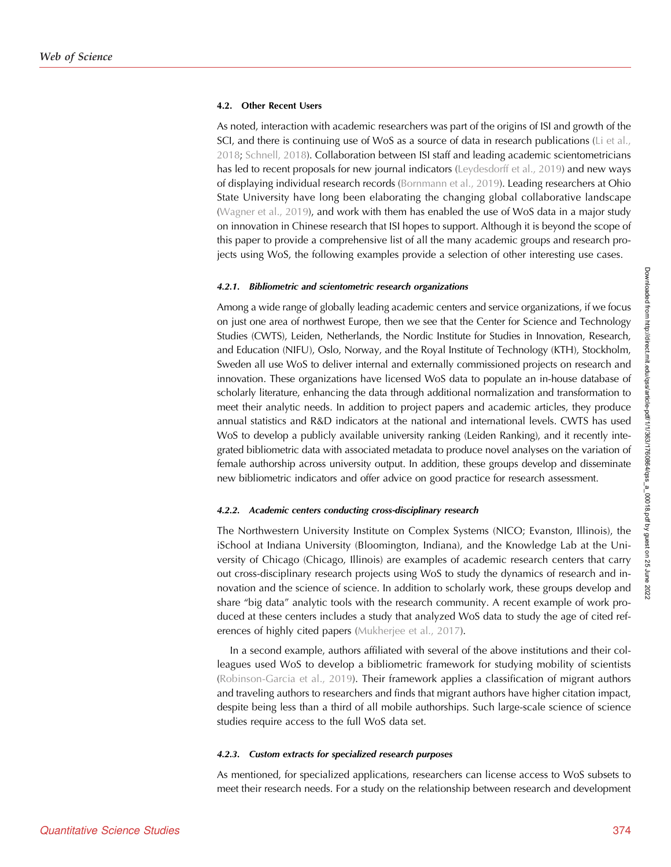#### 4.2. Other Recent Users

As noted, interaction with academic researchers was part of the origins of ISI and growth of the SCI, and there is continuing use of WoS as a source of data in research publications [\(Li et al.,](#page-13-0) [2018;](#page-13-0) [Schnell, 2018\)](#page-13-0). Collaboration between ISI staff and leading academic scientometricians has led to recent proposals for new journal indicators ([Leydesdorff et al., 2019\)](#page-13-0) and new ways of displaying individual research records ([Bornmann et al., 2019\)](#page-12-0). Leading researchers at Ohio State University have long been elaborating the changing global collaborative landscape ([Wagner et al., 2019\)](#page-13-0), and work with them has enabled the use of WoS data in a major study on innovation in Chinese research that ISI hopes to support. Although it is beyond the scope of this paper to provide a comprehensive list of all the many academic groups and research projects using WoS, the following examples provide a selection of other interesting use cases.

#### 4.2.1. Bibliometric and scientometric research organizations

Among a wide range of globally leading academic centers and service organizations, if we focus on just one area of northwest Europe, then we see that the Center for Science and Technology Studies (CWTS), Leiden, Netherlands, the Nordic Institute for Studies in Innovation, Research, and Education (NIFU), Oslo, Norway, and the Royal Institute of Technology (KTH), Stockholm, Sweden all use WoS to deliver internal and externally commissioned projects on research and innovation. These organizations have licensed WoS data to populate an in-house database of scholarly literature, enhancing the data through additional normalization and transformation to meet their analytic needs. In addition to project papers and academic articles, they produce annual statistics and R&D indicators at the national and international levels. CWTS has used WoS to develop a publicly available university ranking (Leiden Ranking), and it recently integrated bibliometric data with associated metadata to produce novel analyses on the variation of female authorship across university output. In addition, these groups develop and disseminate new bibliometric indicators and offer advice on good practice for research assessment.

#### 4.2.2. Academic centers conducting cross-disciplinary research

The Northwestern University Institute on Complex Systems (NICO; Evanston, Illinois), the iSchool at Indiana University (Bloomington, Indiana), and the Knowledge Lab at the University of Chicago (Chicago, Illinois) are examples of academic research centers that carry out cross-disciplinary research projects using WoS to study the dynamics of research and innovation and the science of science. In addition to scholarly work, these groups develop and share "big data" analytic tools with the research community. A recent example of work produced at these centers includes a study that analyzed WoS data to study the age of cited ref-erences of highly cited papers ([Mukherjee et al., 2017](#page-13-0)).

In a second example, authors affiliated with several of the above institutions and their colleagues used WoS to develop a bibliometric framework for studying mobility of scientists ([Robinson-Garcia et al., 2019\)](#page-13-0). Their framework applies a classification of migrant authors and traveling authors to researchers and finds that migrant authors have higher citation impact, despite being less than a third of all mobile authorships. Such large-scale science of science studies require access to the full WoS data set.

#### 4.2.3. Custom extracts for specialized research purposes

As mentioned, for specialized applications, researchers can license access to WoS subsets to meet their research needs. For a study on the relationship between research and development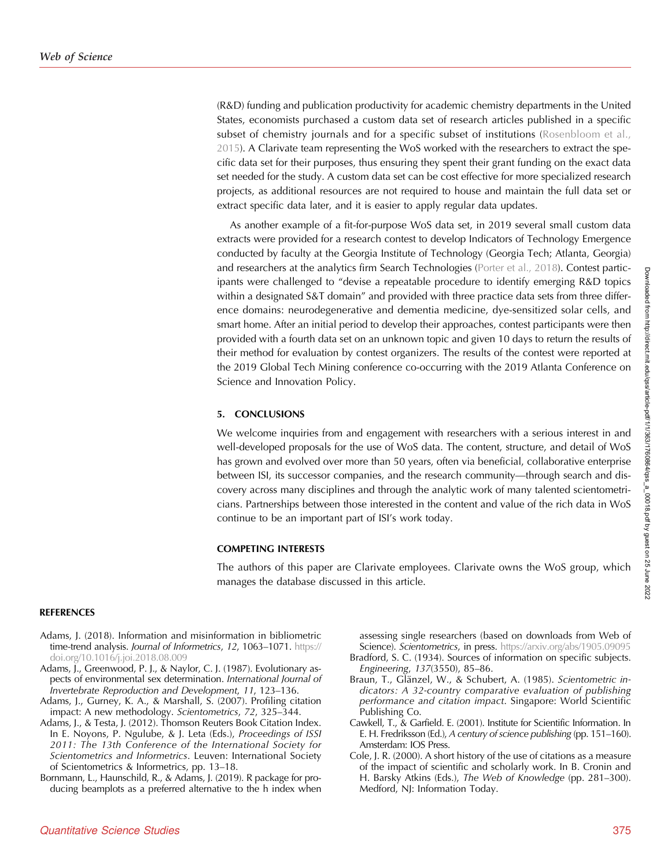<span id="page-12-0"></span>(R&D) funding and publication productivity for academic chemistry departments in the United States, economists purchased a custom data set of research articles published in a specific subset of chemistry journals and for a specific subset of institutions [\(Rosenbloom et al.,](#page-13-0) [2015\)](#page-13-0). A Clarivate team representing the WoS worked with the researchers to extract the specific data set for their purposes, thus ensuring they spent their grant funding on the exact data set needed for the study. A custom data set can be cost effective for more specialized research projects, as additional resources are not required to house and maintain the full data set or extract specific data later, and it is easier to apply regular data updates.

As another example of a fit-for-purpose WoS data set, in 2019 several small custom data extracts were provided for a research contest to develop Indicators of Technology Emergence conducted by faculty at the Georgia Institute of Technology (Georgia Tech; Atlanta, Georgia) and researchers at the analytics firm Search Technologies [\(Porter et al., 2018\)](#page-13-0). Contest participants were challenged to "devise a repeatable procedure to identify emerging R&D topics within a designated S&T domain" and provided with three practice data sets from three difference domains: neurodegenerative and dementia medicine, dye-sensitized solar cells, and smart home. After an initial period to develop their approaches, contest participants were then provided with a fourth data set on an unknown topic and given 10 days to return the results of their method for evaluation by contest organizers. The results of the contest were reported at the 2019 Global Tech Mining conference co-occurring with the 2019 Atlanta Conference on Science and Innovation Policy.

# 5. CONCLUSIONS

We welcome inquiries from and engagement with researchers with a serious interest in and well-developed proposals for the use of WoS data. The content, structure, and detail of WoS has grown and evolved over more than 50 years, often via beneficial, collaborative enterprise between ISI, its successor companies, and the research community—through search and discovery across many disciplines and through the analytic work of many talented scientometricians. Partnerships between those interested in the content and value of the rich data in WoS continue to be an important part of ISI's work today.

## COMPETING INTERESTS

The authors of this paper are Clarivate employees. Clarivate owns the WoS group, which manages the database discussed in this article.

### **REFERENCES**

- Adams, J. (2018). Information and misinformation in bibliometric time-trend analysis. Journal of Informetrics, 12, 1063-1071. [https://](https://doi.org/10.1016/j.joi.2018.08.009) [doi.org/10.1016/j.joi.2018.08.009](https://doi.org/10.1016/j.joi.2018.08.009)
- Adams, J., Greenwood, P. J., & Naylor, C. J. (1987). Evolutionary aspects of environmental sex determination. International Journal of Invertebrate Reproduction and Development, 11, 123–136.
- Adams, J., Gurney, K. A., & Marshall, S. (2007). Profiling citation impact: A new methodology. Scientometrics, 72, 325–344.
- Adams, J., & Testa, J. (2012). Thomson Reuters Book Citation Index. In E. Noyons, P. Ngulube, & J. Leta (Eds.), Proceedings of ISSI 2011: The 13th Conference of the International Society for Scientometrics and Informetrics. Leuven: International Society of Scientometrics & Informetrics, pp. 13–18.
- Bornmann, L., Haunschild, R., & Adams, J. (2019). R package for producing beamplots as a preferred alternative to the h index when

assessing single researchers (based on downloads from Web of Science). Scientometrics, in press. <https://arxiv.org/abs/1905.09095> Bradford, S. C. (1934). Sources of information on specific subjects.

- Engineering, 137(3550), 85–86. Braun, T., Glänzel, W., & Schubert, A. (1985). Scientometric indicators: A 32-country comparative evaluation of publishing performance and citation impact. Singapore: World Scientific Publishing Co.
- Cawkell, T., & Garfield. E. (2001). Institute for Scientific Information. In E. H. Fredriksson (Ed.), A century of science publishing (pp. 151–160). Amsterdam: IOS Press.
- Cole, J. R. (2000). A short history of the use of citations as a measure of the impact of scientific and scholarly work. In B. Cronin and H. Barsky Atkins (Eds.), The Web of Knowledge (pp. 281–300). Medford, NJ: Information Today.